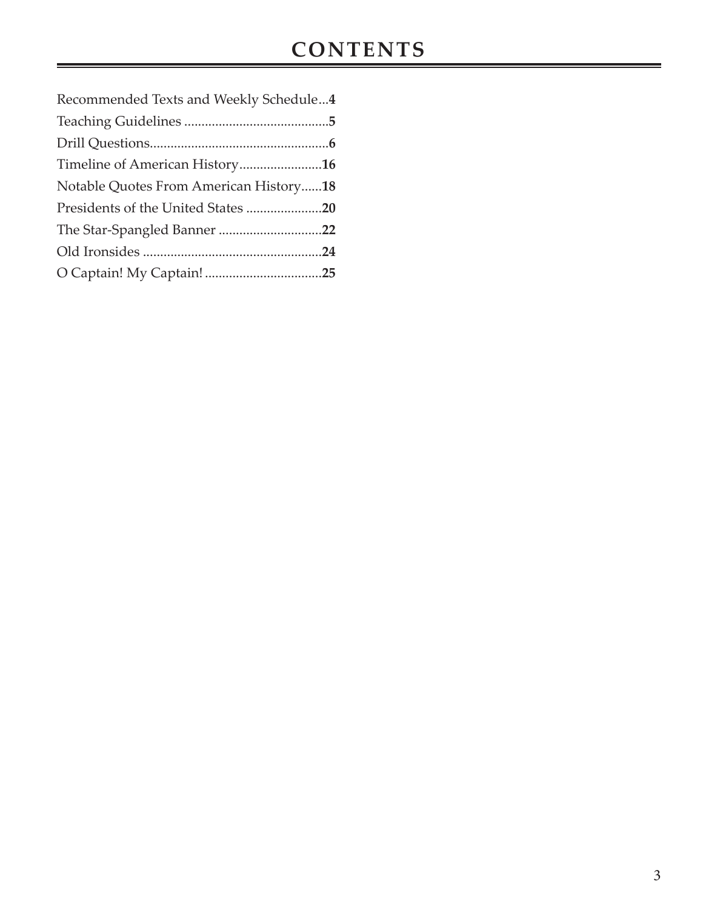| Recommended Texts and Weekly Schedule4 |
|----------------------------------------|
|                                        |
|                                        |
| Timeline of American History16         |
| Notable Quotes From American History18 |
|                                        |
|                                        |
|                                        |
|                                        |
|                                        |